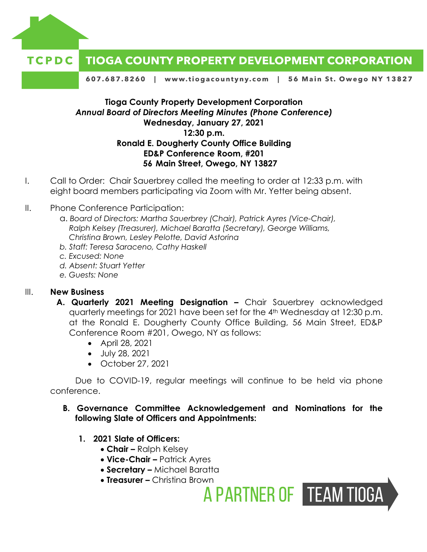

#### **TIOGA COUNTY PROPERTY DEVELOPMENT CORPORATION** TCPDC

607.687.8260 | www.tiogacountyny.com | 56 Main St. Owego NY 13827

# **Tioga County Property Development Corporation** *Annual Board of Directors Meeting Minutes (Phone Conference)* **Wednesday, January 27, 2021 12:30 p.m. Ronald E. Dougherty County Office Building ED&P Conference Room, #201 56 Main Street, Owego, NY 13827**

- I. Call to Order: Chair Sauerbrey called the meeting to order at 12:33 p.m. with eight board members participating via Zoom with Mr. Yetter being absent.
- II. Phone Conference Participation:
	- a. *Board of Directors: Martha Sauerbrey (Chair), Patrick Ayres (Vice-Chair), Ralph Kelsey (Treasurer), Michael Baratta (Secretary), George Williams, Christina Brown, Lesley Pelotte, David Astorina*
	- *b. Staff: Teresa Saraceno, Cathy Haskell*
	- *c. Excused: None*
	- *d. Absent: Stuart Yetter*
	- *e. Guests: None*

### III. **New Business**

- **A. Quarterly 2021 Meeting Designation –** Chair Sauerbrey acknowledged quarterly meetings for 2021 have been set for the 4th Wednesday at 12:30 p.m. at the Ronald E. Dougherty County Office Building, 56 Main Street, ED&P Conference Room #201, Owego, NY as follows:
	- April 28, 2021
	- July 28, 2021
	- $\bullet$  October 27, 2021

Due to COVID-19, regular meetings will continue to be held via phone conference.

## **B. Governance Committee Acknowledgement and Nominations for the following Slate of Officers and Appointments:**

A PARTNER OF TEAM TIOGA

- **1. 2021 Slate of Officers:** 
	- **Chair –** Ralph Kelsey
	- **Vice-Chair –** Patrick Ayres
	- **Secretary –** Michael Baratta
	- **Treasurer –** Christina Brown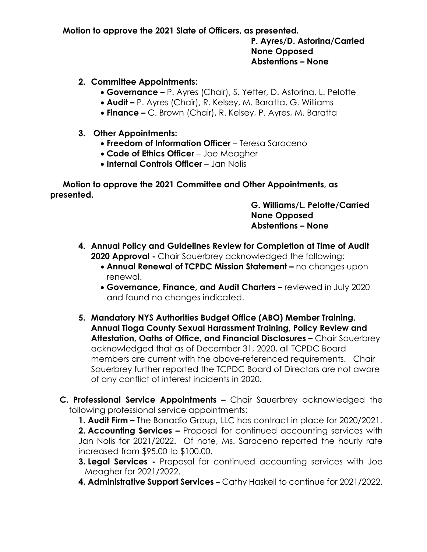**Motion to approve the 2021 Slate of Officers, as presented.** 

**P. Ayres/D. Astorina/Carried None Opposed Abstentions – None**

- **2. Committee Appointments:**
	- **Governance –** P. Ayres (Chair), S. Yetter, D. Astorina, L. Pelotte
	- **Audit –** P. Ayres (Chair), R. Kelsey, M. Baratta, G. Williams
	- **Finance –** C. Brown (Chair), R. Kelsey, P. Ayres, M. Baratta

### **3. Other Appointments:**

- **Freedom of Information Officer** Teresa Saraceno
- **Code of Ethics Officer** Joe Meagher
- **Internal Controls Officer** Jan Nolis

**Motion to approve the 2021 Committee and Other Appointments, as presented.** 

# **G. Williams/L. Pelotte/Carried None Opposed Abstentions – None**

- **4. Annual Policy and Guidelines Review for Completion at Time of Audit 2020 Approval -** Chair Sauerbrey acknowledged the following:
	- **Annual Renewal of TCPDC Mission Statement –** no changes upon renewal.
	- **Governance, Finance, and Audit Charters -** reviewed in July 2020 and found no changes indicated.
- **5. Mandatory NYS Authorities Budget Office (ABO) Member Training, Annual Tioga County Sexual Harassment Training, Policy Review and Attestation, Oaths of Office, and Financial Disclosures –** Chair Sauerbrey acknowledged that as of December 31, 2020, all TCPDC Board members are current with the above-referenced requirements. Chair Sauerbrey further reported the TCPDC Board of Directors are not aware of any conflict of interest incidents in 2020.

**C. Professional Service Appointments –** Chair Sauerbrey acknowledged the following professional service appointments:

**1. Audit Firm –** The Bonadio Group, LLC has contract in place for 2020/2021.

**2. Accounting Services –** Proposal for continued accounting services with Jan Nolis for 2021/2022. Of note, Ms. Saraceno reported the hourly rate increased from \$95.00 to \$100.00.

- **3. Legal Services -** Proposal for continued accounting services with Joe Meagher for 2021/2022.
- **4. Administrative Support Services –** Cathy Haskell to continue for 2021/2022.